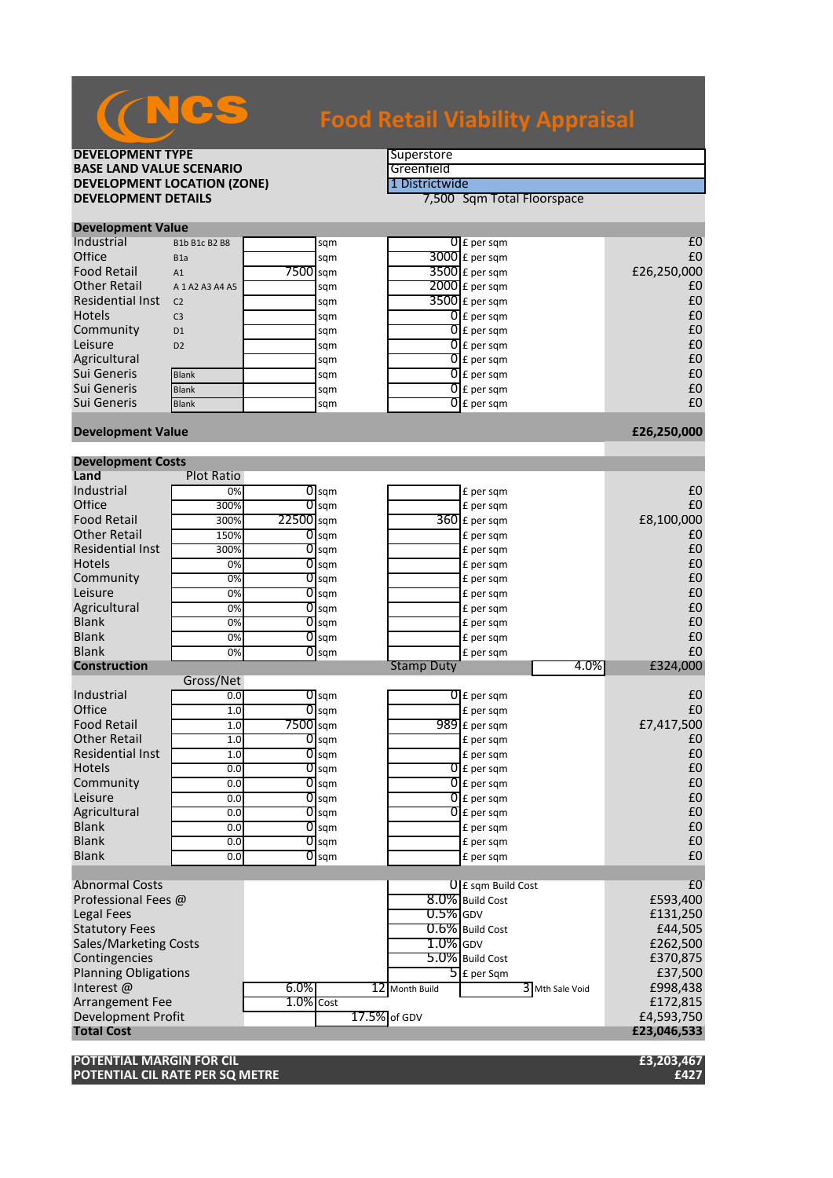

# **Food Retail Viability Appraisal**

## **DEVELOPMENT TYPE**<br> **BASE LAND VALUE SCENARIO BASE LAND VALUE SCENARIO**<br> **DEVELOPMENT LOCATION (ZONE)** The District Wide **DEVELOPMENT LOCATION (ZONE)**<br>DEVELOPMENT DETAILS

**7,500 Sqm Total Floorspace** 

| <b>Development Value</b> |                     |          |     |  |                          |             |  |  |
|--------------------------|---------------------|----------|-----|--|--------------------------|-------------|--|--|
| Industrial               | B1b B1c B2 B8       |          | sqm |  | $\overline{0}$ E per sqm | £C          |  |  |
| Office                   | B <sub>1</sub> a    |          | sqm |  | $3000$ £ per sqm         | £C          |  |  |
| <b>Food Retail</b>       | A1                  | 7500 sqm |     |  | $3500$ £ per sqm         | £26,250,000 |  |  |
| <b>Other Retail</b>      | A 1 A 2 A 3 A 4 A 5 |          | sqm |  | $2000$ E per sqm         | £C          |  |  |
| <b>Residential Inst</b>  | C <sub>2</sub>      |          | sqm |  | $3500$ £ per sqm         | £C          |  |  |
| <b>Hotels</b>            | C <sub>3</sub>      |          | sqm |  | $0f$ per sqm             | £C          |  |  |
| Community                | D <sub>1</sub>      |          | sqm |  | $0 \mathsf{E}$ per sqm   | £C          |  |  |
| Leisure                  | D2                  |          | sqm |  | $0 \text{ f}$ per sqm    | £C          |  |  |
| Agricultural             |                     |          | sqm |  | $0 \mathsf{E}$ per sqm   | £C          |  |  |
| Sui Generis              | <b>Blank</b>        |          | sqm |  | $01$ E per sqm           | £C          |  |  |
| Sui Generis              | <b>Blank</b>        |          | sqm |  | $\overline{0}$ E per sqm | £C          |  |  |
| Sui Generis              | <b>Blank</b>        |          | sqm |  | $\overline{0}$ E per sqm | £C          |  |  |
|                          |                     |          |     |  |                          |             |  |  |

### **Development Value £26,250,000**

| <b>Development Costs</b>     |                   |              |                    |  |                   |                                   |                 |                |
|------------------------------|-------------------|--------------|--------------------|--|-------------------|-----------------------------------|-----------------|----------------|
| Land                         | <b>Plot Ratio</b> |              |                    |  |                   |                                   |                 |                |
| Industrial                   | 0%                |              | $\overline{O}$ sqm |  |                   | £ per sqm                         |                 | £0             |
| Office                       | 300%              | 01           | sqm                |  |                   | £ per sqm                         |                 | £0             |
| <b>Food Retail</b>           | 300%              | 22500 sqm    |                    |  |                   | $360$ £ per sqm                   |                 | £8,100,000     |
| <b>Other Retail</b>          | 150%              |              | $\overline{O}$ sqm |  |                   | £ per sqm                         |                 | £0             |
| <b>Residential Inst</b>      | 300%              | 01           | sqm                |  |                   | £ per sqm                         |                 | £0             |
| <b>Hotels</b>                | 0%                | 01           | sqm                |  |                   | £ per sqm                         |                 | £0             |
| Community                    | 0%                |              | $\overline{O}$ sqm |  |                   | £ per sqm                         |                 | £0             |
| Leisure                      | 0%                |              | $\overline{O}$ sqm |  |                   | £ per sqm                         |                 | £0             |
| Agricultural                 | 0%                | 01           | sqm                |  |                   | £ per sqm                         |                 | £0             |
| <b>Blank</b>                 | 0%                |              | $O$ sqm            |  |                   | £ per sqm                         |                 | £0             |
| <b>Blank</b>                 | 0%                |              | $0$ sqm            |  |                   | £ per sqm                         |                 | £0             |
| <b>Blank</b>                 | 0%                | 01           | sqm                |  |                   | £ per sqm                         |                 | £0             |
| <b>Construction</b>          |                   |              |                    |  | <b>Stamp Duty</b> |                                   | 4.0%            | £324,000       |
|                              | Gross/Net         |              |                    |  |                   |                                   |                 |                |
| Industrial                   | 0.0               |              | $\overline{O}$ sqm |  |                   | $0f$ per sqm                      |                 | £0             |
| Office                       | 1.0               | 01           | sqm                |  |                   | £ per sqm                         |                 | £0             |
| <b>Food Retail</b>           | 1.0               | 7500 sqm     |                    |  |                   | $989$ £ per sqm                   |                 | £7,417,500     |
| <b>Other Retail</b>          | 1.0               |              | $\overline{0}$ sqm |  |                   | £ per sqm                         |                 | £0             |
| <b>Residential Inst</b>      | 1.0               | 01           | sqm                |  |                   | £ per sqm                         |                 | £0             |
| <b>Hotels</b>                | 0.0               | 01           | sqm                |  |                   | $\overline{0}$ E per sqm          |                 | £0             |
| Community                    | 0.0               |              | $\overline{O}$ sqm |  |                   | $\overline{0}$ E per sqm          |                 | £0             |
| Leisure                      | 0.0               |              | $O$ sqm            |  |                   | $\overline{0}$ E per sqm          |                 | £0             |
| Agricultural                 | 0.0               | 01           | sqm                |  |                   | $0f$ per sqm                      |                 | £0             |
| <b>Blank</b>                 | 0.0               |              | $O$ sqm            |  |                   | £ per sqm                         |                 | £0             |
| <b>Blank</b>                 | 0.0               |              | $0$ sqm            |  |                   | £ per sqm                         |                 | £0             |
| <b>Blank</b>                 | 0.0               | 01           | sqm                |  |                   | £ per sqm                         |                 | £0             |
|                              |                   |              |                    |  |                   |                                   |                 |                |
| <b>Abnormal Costs</b>        |                   |              |                    |  |                   | $0 \mathsf{E}$ sqm Build Cost     |                 | E <sub>0</sub> |
| Professional Fees @          |                   |              |                    |  |                   | 8.0% Build Cost                   |                 | £593,400       |
| <b>Legal Fees</b>            |                   |              |                    |  | $0.5\%$ GDV       |                                   |                 | £131,250       |
| <b>Statutory Fees</b>        |                   |              |                    |  |                   | 0.6% Build Cost                   |                 | £44,505        |
| <b>Sales/Marketing Costs</b> |                   |              |                    |  | $1.0\%$ GDV       |                                   |                 | £262,500       |
| Contingencies                |                   |              |                    |  |                   | 5.0% Build Cost                   |                 | £370,875       |
| <b>Planning Obligations</b>  |                   |              |                    |  |                   | $\overline{\mathsf{5}}$ E per Sqm |                 | £37,500        |
| Interest $@$                 |                   | 6.0%         |                    |  | 12 Month Build    |                                   | 3 Mth Sale Void | £998,438       |
| <b>Arrangement Fee</b>       |                   | $1.0\%$ Cost |                    |  |                   |                                   |                 | £172,815       |
| <b>Development Profit</b>    | 17.5% of GDV      |              |                    |  |                   |                                   | £4,593,750      |                |
| <b>Total Cost</b>            |                   |              |                    |  |                   |                                   |                 | £23,046,533    |

**POTENTIAL MARGIN FOR CIL £3,203,467 POTENTIAL CIL RATE PER SQ METRE**